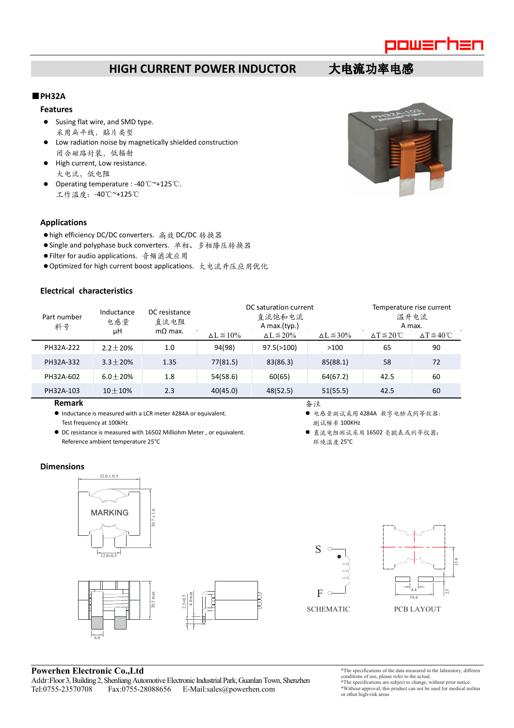

# **HIGH CURRENT POWER INDUCTOR 大电流功率电感**

# ■**PH32A**

- **Features**
- Susing flat wire, and SMD type. 采用扁平线,贴片类型
- Low radiation noise by magnetically shielded construction 闭合磁路封装,低辐射
- High current, Low resistance. 大电流,低电阻
- Operating temperature : -40℃~+125℃. 工作温度:-40℃~+125℃

### **Applications**

- high efficiency DC/DC converters. 高效 DC/DC 转换器
- Single and polyphase buck converters. 单相、多相降压转换器
- Filter for audio applications. 音频滤波应用
- Optimized for high current boost applications. 大电流升压应用优化

| Electrical characteristics |                         |                                         |                                                 |                      |                      |                                            |                                 |
|----------------------------|-------------------------|-----------------------------------------|-------------------------------------------------|----------------------|----------------------|--------------------------------------------|---------------------------------|
| Part number<br>料号          | Inductance<br>电感量<br>μH | DC resistance<br>直流电阻<br>$m\Omega$ max. | DC saturation current<br>直流饱和电流<br>A max.(typ.) |                      |                      | Temperature rise current<br>温升电流<br>A max. |                                 |
|                            |                         |                                         | $\Delta L \le 10\%$                             | $\Delta L \leq 20\%$ | $\Delta L \leq 30\%$ | $\triangle T \leq 20^{\circ}$ C            | $\triangle T \leq 40^{\circ}$ C |
| PH32A-222                  | $2.2 + 20%$             | 1.0                                     | 94(98)                                          | 97.5(>100)           | >100                 | 65                                         | 90                              |
| PH32A-332                  | $3.3 \pm 20%$           | 1.35                                    | 77(81.5)                                        | 83(86.3)             | 85(88.1)             | 58                                         | 72                              |
| PH32A-602                  | $6.0 + 20%$             | 1.8                                     | 54(58.6)                                        | 60(65)               | 64(67.2)             | 42.5                                       | 60                              |
| PH32A-103                  | $10 + 10%$              | 2.3                                     | 40(45.0)                                        | 48(52.5)             | 51(55.5)             | 42.5                                       | 60                              |

#### **Remark**

- Inductance is measured with a LCR meter 4284A or equivalent. Test frequency at 100kHz
- DC resistance is measured with 16502 Milliohm Meter , or equivalent. Reference ambient temperature 25°C

备注

- 电感量测试采用 4284A 数字电桥或同等仪器; 测试频率 100KHz
- 直流电阻测试采用 16502 毫欧表或同等仪器; 环境温度 25°C

### **Dimensions**









## **Powerhen Electronic Co.,Ltd**

6.0

Addr:Floor 3, Building 2, Shenliang Automotive Electronic Industrial Park, Guanlan Town, Shenzhen Fax:0755-28088656 E-Mail:sales@powerhen.com

20.5 max

\*The specifications of the data measured in the laboratory, different conditions of use, please refer to the actual.

\*The specifications are subject to change, without prior notice. \*Without approval, this product can not be used for medical military or other high-risk areas